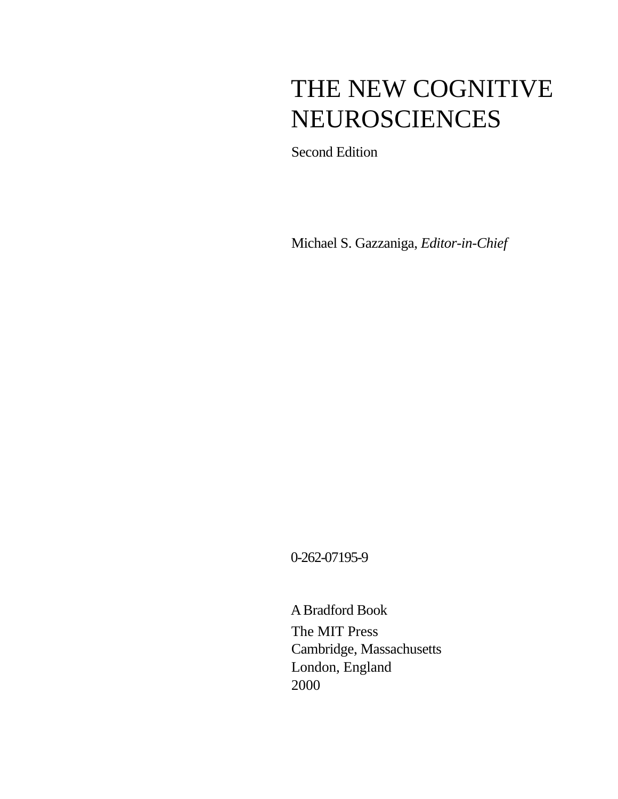# THE NEW COGNITIVE NEUROSCIENCES

Second Edition

Michael S. Gazzaniga, *Editor-in-Chief*

0-262-07195-9

A Bradford Book The MIT Press Cambridge, Massachusetts London, England 2000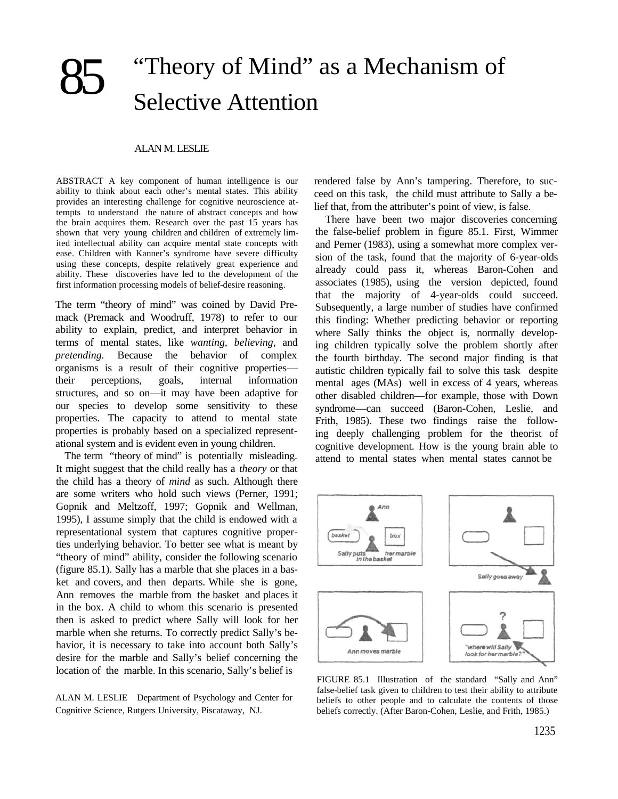# "Theory of Mind" as a Mechanism of Selective Attention 85

#### ALAN M. LESLIE

ABSTRACT A key component of human intelligence is our ability to think about each other's mental states. This ability provides an interesting challenge for cognitive neuroscience attempts to understand the nature of abstract concepts and how the brain acquires them. Research over the past 15 years has shown that very young children and children of extremely limited intellectual ability can acquire mental state concepts with ease. Children with Kanner's syndrome have severe difficulty using these concepts, despite relatively great experience and ability. These discoveries have led to the development of the first information processing models of belief-desire reasoning.

The term "theory of mind" was coined by David Premack (Premack and Woodruff, 1978) to refer to our ability to explain, predict, and interpret behavior in terms of mental states, like *wanting, believing,* and *pretending.* Because the behavior of complex organisms is a result of their cognitive properties their perceptions, goals, internal information structures, and so on—it may have been adaptive for our species to develop some sensitivity to these properties. The capacity to attend to mental state properties is probably based on a specialized representational system and is evident even in young children.

The term "theory of mind" is potentially misleading. It might suggest that the child really has a *theory* or that the child has a theory of *mind* as such. Although there are some writers who hold such views (Perner, 1991; Gopnik and Meltzoff, 1997; Gopnik and Wellman, 1995), I assume simply that the child is endowed with a representational system that captures cognitive properties underlying behavior. To better see what is meant by "theory of mind" ability, consider the following scenario (figure 85.1). Sally has a marble that she places in a basket and covers, and then departs. While she is gone, Ann removes the marble from the basket and places it in the box. A child to whom this scenario is presented then is asked to predict where Sally will look for her marble when she returns. To correctly predict Sally's behavior, it is necessary to take into account both Sally's desire for the marble and Sally's belief concerning the location of the marble. In this scenario, Sally's belief is

ALAN M. LESLIE Department of Psychology and Center for Cognitive Science, Rutgers University, Piscataway, NJ.

rendered false by Ann's tampering. Therefore, to succeed on this task, the child must attribute to Sally a belief that, from the attributer's point of view, is false.

There have been two major discoveries concerning the false-belief problem in figure 85.1. First, Wimmer and Perner (1983), using a somewhat more complex version of the task, found that the majority of 6-year-olds already could pass it, whereas Baron-Cohen and associates (1985), using the version depicted, found that the majority of 4-year-olds could succeed. Subsequently, a large number of studies have confirmed this finding: Whether predicting behavior or reporting where Sally thinks the object is, normally developing children typically solve the problem shortly after the fourth birthday. The second major finding is that autistic children typically fail to solve this task despite mental ages (MAs) well in excess of 4 years, whereas other disabled children—for example, those with Down syndrome—can succeed (Baron-Cohen, Leslie, and Frith, 1985). These two findings raise the following deeply challenging problem for the theorist of cognitive development. How is the young brain able to attend to mental states when mental states cannot be



FIGURE 85.1 Illustration of the standard "Sally and Ann" false-belief task given to children to test their ability to attribute beliefs to other people and to calculate the contents of those beliefs correctly. (After Baron-Cohen, Leslie, and Frith, 1985.)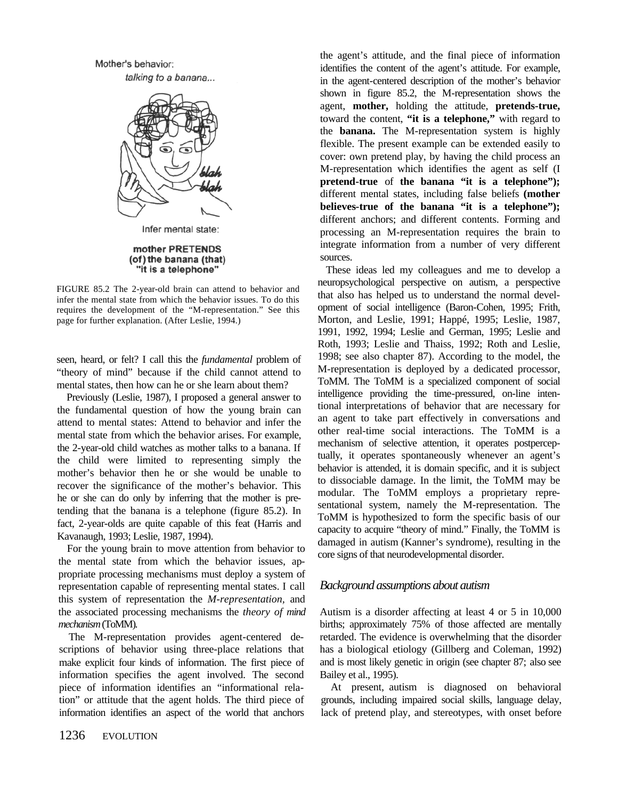Mother's behavior:

talking to a banana...



(of) the banana (that) "it is a telephone"

FIGURE 85.2 The 2-year-old brain can attend to behavior and infer the mental state from which the behavior issues. To do this requires the development of the "M-representation." See this page for further explanation. (After Leslie, 1994.)

seen, heard, or felt? I call this the *fundamental* problem of "theory of mind" because if the child cannot attend to mental states, then how can he or she learn about them?

Previously (Leslie, 1987), I proposed a general answer to the fundamental question of how the young brain can attend to mental states: Attend to behavior and infer the mental state from which the behavior arises. For example, the 2-year-old child watches as mother talks to a banana. If the child were limited to representing simply the mother's behavior then he or she would be unable to recover the significance of the mother's behavior. This he or she can do only by inferring that the mother is pretending that the banana is a telephone (figure 85.2). In fact, 2-year-olds are quite capable of this feat (Harris and Kavanaugh, 1993; Leslie, 1987, 1994).

For the young brain to move attention from behavior to the mental state from which the behavior issues, appropriate processing mechanisms must deploy a system of representation capable of representing mental states. I call this system of representation the *M-representation,* and the associated processing mechanisms the *theory of mind mechanism* (ToMM).

The M-representation provides agent-centered descriptions of behavior using three-place relations that make explicit four kinds of information. The first piece of information specifies the agent involved. The second piece of information identifies an "informational relation" or attitude that the agent holds. The third piece of information identifies an aspect of the world that anchors

the agent's attitude, and the final piece of information identifies the content of the agent's attitude. For example, in the agent-centered description of the mother's behavior shown in figure 85.2, the M-representation shows the agent, **mother,** holding the attitude, **pretends-true,**  toward the content, **"it is a telephone,"** with regard to the **banana.** The M-representation system is highly flexible. The present example can be extended easily to cover: own pretend play, by having the child process an M-representation which identifies the agent as self (I **pretend-true** of **the banana "it is a telephone");** different mental states, including false beliefs **(mother believes-true of the banana "it is a telephone");** different anchors; and different contents. Forming and processing an M-representation requires the brain to integrate information from a number of very different sources.

These ideas led my colleagues and me to develop a neuropsychological perspective on autism, a perspective that also has helped us to understand the normal development of social intelligence (Baron-Cohen, 1995; Frith, Morton, and Leslie, 1991; Happé, 1995; Leslie, 1987, 1991, 1992, 1994; Leslie and German, 1995; Leslie and Roth, 1993; Leslie and Thaiss, 1992; Roth and Leslie, 1998; see also chapter 87). According to the model, the M-representation is deployed by a dedicated processor, ToMM. The ToMM is a specialized component of social intelligence providing the time-pressured, on-line intentional interpretations of behavior that are necessary for an agent to take part effectively in conversations and other real-time social interactions. The ToMM is a mechanism of selective attention, it operates postperceptually, it operates spontaneously whenever an agent's behavior is attended, it is domain specific, and it is subject to dissociable damage. In the limit, the ToMM may be modular. The ToMM employs a proprietary representational system, namely the M-representation. The ToMM is hypothesized to form the specific basis of our capacity to acquire "theory of mind." Finally, the ToMM is damaged in autism (Kanner's syndrome), resulting in the core signs of that neurodevelopmental disorder.

#### *Background assumptions about autism*

Autism is a disorder affecting at least 4 or 5 in 10,000 births; approximately 75% of those affected are mentally retarded. The evidence is overwhelming that the disorder has a biological etiology (Gillberg and Coleman, 1992) and is most likely genetic in origin (see chapter 87; also see Bailey et al., 1995).

At present, autism is diagnosed on behavioral grounds, including impaired social skills, language delay, lack of pretend play, and stereotypes, with onset before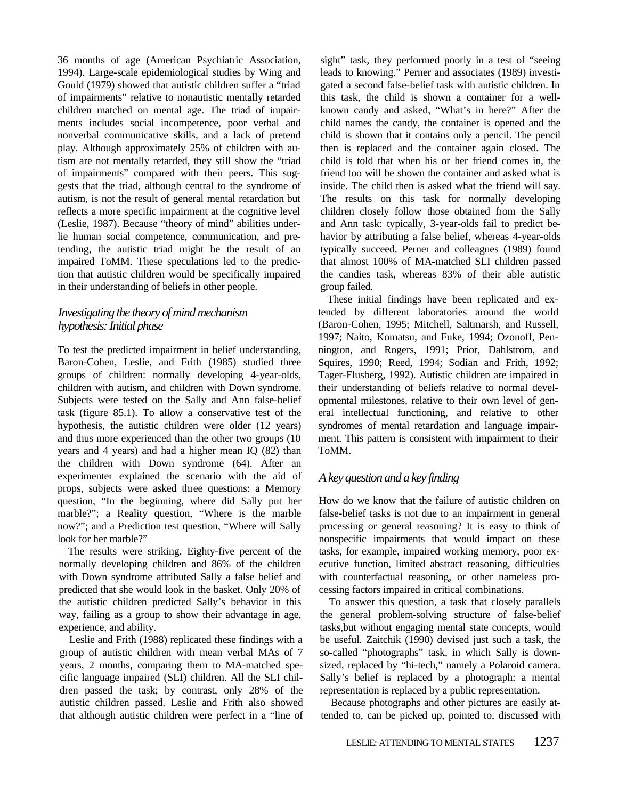36 months of age (American Psychiatric Association, 1994). Large-scale epidemiological studies by Wing and Gould (1979) showed that autistic children suffer a "triad of impairments" relative to nonautistic mentally retarded children matched on mental age. The triad of impairments includes social incompetence, poor verbal and nonverbal communicative skills, and a lack of pretend play. Although approximately 25% of children with autism are not mentally retarded, they still show the "triad of impairments" compared with their peers. This suggests that the triad, although central to the syndrome of autism, is not the result of general mental retardation but reflects a more specific impairment at the cognitive level (Leslie, 1987). Because "theory of mind" abilities underlie human social competence, communication, and pretending, the autistic triad might be the result of an impaired ToMM. These speculations led to the prediction that autistic children would be specifically impaired in their understanding of beliefs in other people.

#### *Investigating the theory of mind mechanism hypothesis: Initial phase*

To test the predicted impairment in belief understanding, Baron-Cohen, Leslie, and Frith (1985) studied three groups of children: normally developing 4-year-olds, children with autism, and children with Down syndrome. Subjects were tested on the Sally and Ann false-belief task (figure 85.1). To allow a conservative test of the hypothesis, the autistic children were older (12 years) and thus more experienced than the other two groups (10 years and 4 years) and had a higher mean IQ (82) than the children with Down syndrome (64). After an experimenter explained the scenario with the aid of props, subjects were asked three questions: a Memory question, "In the beginning, where did Sally put her marble?"; a Reality question, "Where is the marble now?"; and a Prediction test question, "Where will Sally look for her marble?"

The results were striking. Eighty-five percent of the normally developing children and 86% of the children with Down syndrome attributed Sally a false belief and predicted that she would look in the basket. Only 20% of the autistic children predicted Sally's behavior in this way, failing as a group to show their advantage in age, experience, and ability.

Leslie and Frith (1988) replicated these findings with a group of autistic children with mean verbal MAs of 7 years, 2 months, comparing them to MA-matched specific language impaired (SLI) children. All the SLI children passed the task; by contrast, only 28% of the autistic children passed. Leslie and Frith also showed that although autistic children were perfect in a "line of

sight" task, they performed poorly in a test of "seeing leads to knowing." Perner and associates (1989) investigated a second false-belief task with autistic children. In this task, the child is shown a container for a wellknown candy and asked, "What's in here?" After the child names the candy, the container is opened and the child is shown that it contains only a pencil. The pencil then is replaced and the container again closed. The child is told that when his or her friend comes in, the friend too will be shown the container and asked what is inside. The child then is asked what the friend will say. The results on this task for normally developing children closely follow those obtained from the Sally and Ann task: typically, 3-year-olds fail to predict behavior by attributing a false belief, whereas 4-year-olds typically succeed. Perner and colleagues (1989) found that almost 100% of MA-matched SLI children passed the candies task, whereas 83% of their able autistic group failed.

These initial findings have been replicated and extended by different laboratories around the world (Baron-Cohen, 1995; Mitchell, Saltmarsh, and Russell, 1997; Naito, Komatsu, and Fuke, 1994; Ozonoff, Pennington, and Rogers, 1991; Prior, Dahlstrom, and Squires, 1990; Reed, 1994; Sodian and Frith, 1992; Tager-Flusberg, 1992). Autistic children are impaired in their understanding of beliefs relative to normal developmental milestones, relative to their own level of general intellectual functioning, and relative to other syndromes of mental retardation and language impairment. This pattern is consistent with impairment to their ToMM.

#### *A key question and a key finding*

How do we know that the failure of autistic children on false-belief tasks is not due to an impairment in general processing or general reasoning? It is easy to think of nonspecific impairments that would impact on these tasks, for example, impaired working memory, poor executive function, limited abstract reasoning, difficulties with counterfactual reasoning, or other nameless processing factors impaired in critical combinations.

To answer this question, a task that closely parallels the general problem-solving structure of false-belief tasks,but without engaging mental state concepts, would be useful. Zaitchik (1990) devised just such a task, the so-called "photographs" task, in which Sally is downsized, replaced by "hi-tech," namely a Polaroid camera. Sally's belief is replaced by a photograph: a mental representation is replaced by a public representation.

Because photographs and other pictures are easily attended to, can be picked up, pointed to, discussed with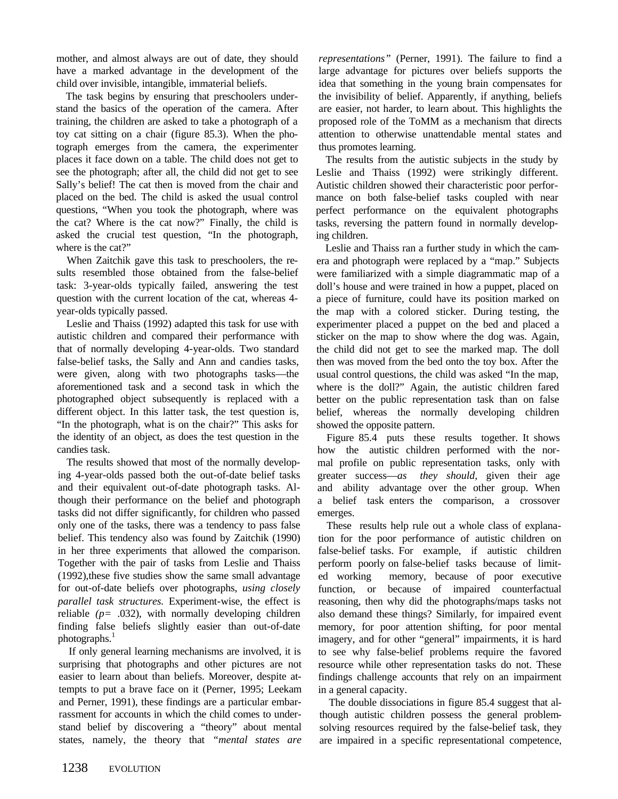mother, and almost always are out of date, they should have a marked advantage in the development of the child over invisible, intangible, immaterial beliefs.

The task begins by ensuring that preschoolers understand the basics of the operation of the camera. After training, the children are asked to take a photograph of a toy cat sitting on a chair (figure 85.3). When the photograph emerges from the camera, the experimenter places it face down on a table. The child does not get to see the photograph; after all, the child did not get to see Sally's belief! The cat then is moved from the chair and placed on the bed. The child is asked the usual control questions, "When you took the photograph, where was the cat? Where is the cat now?" Finally, the child is asked the crucial test question, "In the photograph, where is the cat?"

When Zaitchik gave this task to preschoolers, the results resembled those obtained from the false-belief task: 3-year-olds typically failed, answering the test question with the current location of the cat, whereas 4 year-olds typically passed.

Leslie and Thaiss (1992) adapted this task for use with autistic children and compared their performance with that of normally developing 4-year-olds. Two standard false-belief tasks, the Sally and Ann and candies tasks, were given, along with two photographs tasks—the aforementioned task and a second task in which the photographed object subsequently is replaced with a different object. In this latter task, the test question is, "In the photograph, what is on the chair?" This asks for the identity of an object, as does the test question in the candies task.

The results showed that most of the normally developing 4-year-olds passed both the out-of-date belief tasks and their equivalent out-of-date photograph tasks. Although their performance on the belief and photograph tasks did not differ significantly, for children who passed only one of the tasks, there was a tendency to pass false belief. This tendency also was found by Zaitchik (1990) in her three experiments that allowed the comparison. Together with the pair of tasks from Leslie and Thaiss (1992),these five studies show the same small advantage for out-of-date beliefs over photographs, *using closely parallel task structures.* Experiment-wise, the effect is reliable  $(p= .032)$ , with normally developing children finding false beliefs slightly easier than out-of-date photographs.<sup>1</sup>

If only general learning mechanisms are involved, it is surprising that photographs and other pictures are not easier to learn about than beliefs. Moreover, despite attempts to put a brave face on it (Perner, 1995; Leekam and Perner, 1991), these findings are a particular embarrassment for accounts in which the child comes to understand belief by discovering a "theory" about mental states, namely, the theory that *"mental states are* *representations"* (Perner, 1991). The failure to find a large advantage for pictures over beliefs supports the idea that something in the young brain compensates for the invisibility of belief. Apparently, if anything, beliefs are easier, not harder, to learn about. This highlights the proposed role of the ToMM as a mechanism that directs attention to otherwise unattendable mental states and thus promotes learning.

The results from the autistic subjects in the study by Leslie and Thaiss (1992) were strikingly different. Autistic children showed their characteristic poor performance on both false-belief tasks coupled with near perfect performance on the equivalent photographs tasks, reversing the pattern found in normally developing children.

Leslie and Thaiss ran a further study in which the camera and photograph were replaced by a "map." Subjects were familiarized with a simple diagrammatic map of a doll's house and were trained in how a puppet, placed on a piece of furniture, could have its position marked on the map with a colored sticker. During testing, the experimenter placed a puppet on the bed and placed a sticker on the map to show where the dog was. Again, the child did not get to see the marked map. The doll then was moved from the bed onto the toy box. After the usual control questions, the child was asked "In the map, where is the doll?" Again, the autistic children fared better on the public representation task than on false belief, whereas the normally developing children showed the opposite pattern.

Figure 85.4 puts these results together. It shows how the autistic children performed with the normal profile on public representation tasks, only with greater success—*as they should,* given their age and ability advantage over the other group. When a belief task enters the comparison, a crossover emerges.

These results help rule out a whole class of explanation for the poor performance of autistic children on false-belief tasks. For example, if autistic children perform poorly on false-belief tasks because of limited working memory, because of poor executive function, or because of impaired counterfactual reasoning, then why did the photographs/maps tasks not also demand these things? Similarly, for impaired event memory, for poor attention shifting, for poor mental imagery, and for other "general" impairments, it is hard to see why false-belief problems require the favored resource while other representation tasks do not. These findings challenge accounts that rely on an impairment in a general capacity.

The double dissociations in figure 85.4 suggest that although autistic children possess the general problemsolving resources required by the false-belief task, they are impaired in a specific representational competence,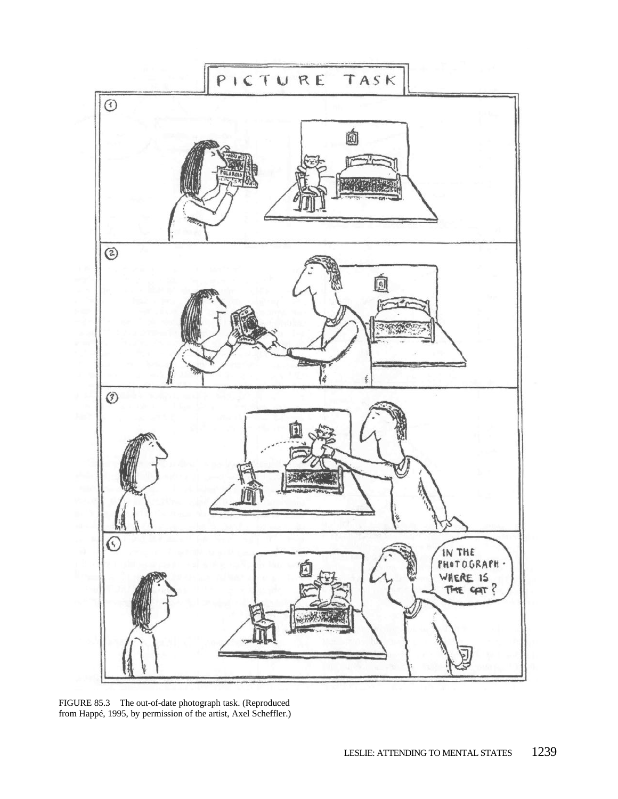

FIGURE 85.3 The out-of-date photograph task. (Reproduced from Happé, 1995, by permission of the artist, Axel Scheffler.)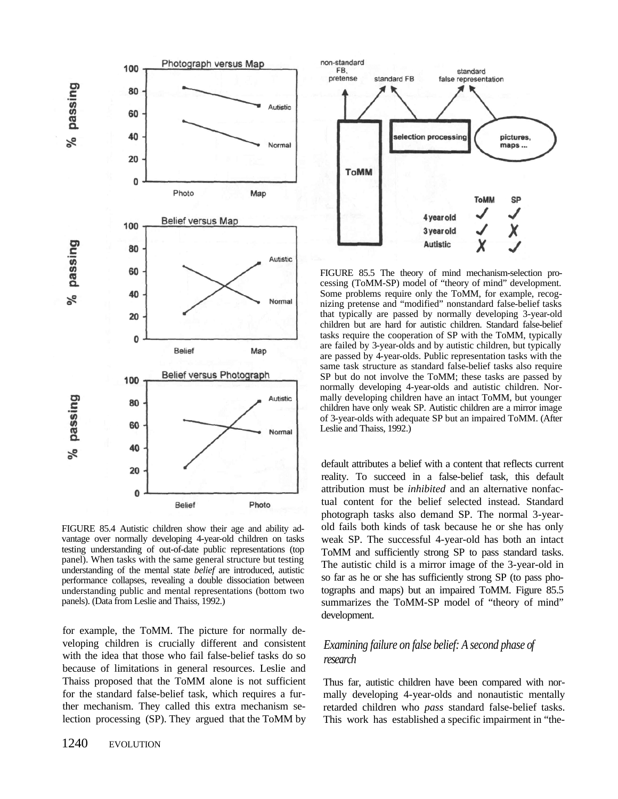

FIGURE 85.4 Autistic children show their age and ability advantage over normally developing 4-year-old children on tasks testing understanding of out-of-date public representations (top panel). When tasks with the same general structure but testing understanding of the mental state *belief* are introduced, autistic performance collapses, revealing a double dissociation between understanding public and mental representations (bottom two panels). (Data from Leslie and Thaiss, 1992.)

for example, the ToMM. The picture for normally developing children is crucially different and consistent with the idea that those who fail false-belief tasks do so because of limitations in general resources. Leslie and Thaiss proposed that the ToMM alone is not sufficient for the standard false-belief task, which requires a further mechanism. They called this extra mechanism selection processing (SP). They argued that the ToMM by



FIGURE 85.5 The theory of mind mechanism-selection processing (ToMM-SP) model of "theory of mind" development. Some problems require only the ToMM, for example, recognizing pretense and "modified" nonstandard false-belief tasks that typically are passed by normally developing 3-year-old children but are hard for autistic children. Standard false-belief tasks require the cooperation of SP with the ToMM, typically are failed by 3-year-olds and by autistic children, but typically are passed by 4-year-olds. Public representation tasks with the same task structure as standard false-belief tasks also require SP but do not involve the ToMM; these tasks are passed by normally developing 4-year-olds and autistic children. Normally developing children have an intact ToMM, but younger children have only weak SP. Autistic children are a mirror image of 3-year-olds with adequate SP but an impaired ToMM. (After Leslie and Thaiss, 1992.)

default attributes a belief with a content that reflects current reality. To succeed in a false-belief task, this default attribution must be *inhibited* and an alternative nonfactual content for the belief selected instead. Standard photograph tasks also demand SP. The normal 3-yearold fails both kinds of task because he or she has only weak SP. The successful 4-year-old has both an intact ToMM and sufficiently strong SP to pass standard tasks. The autistic child is a mirror image of the 3-year-old in so far as he or she has sufficiently strong SP (to pass photographs and maps) but an impaired ToMM. Figure 85.5 summarizes the ToMM-SP model of "theory of mind" development.

#### *Examining failure on false belief: A second phase of research*

Thus far, autistic children have been compared with normally developing 4-year-olds and nonautistic mentally retarded children who *pass* standard false-belief tasks. This work has established a specific impairment in "the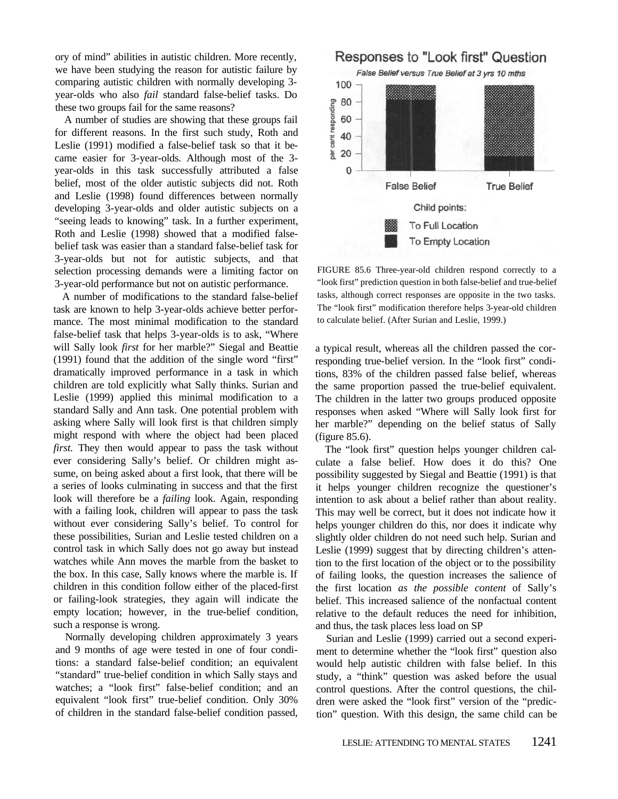ory of mind" abilities in autistic children. More recently, we have been studying the reason for autistic failure by comparing autistic children with normally developing 3 year-olds who also *fail* standard false-belief tasks. Do these two groups fail for the same reasons?

A number of studies are showing that these groups fail for different reasons. In the first such study, Roth and Leslie (1991) modified a false-belief task so that it became easier for 3-year-olds. Although most of the 3 year-olds in this task successfully attributed a false belief, most of the older autistic subjects did not. Roth and Leslie (1998) found differences between normally developing 3-year-olds and older autistic subjects on a "seeing leads to knowing" task. In a further experiment, Roth and Leslie (1998) showed that a modified falsebelief task was easier than a standard false-belief task for 3-year-olds but not for autistic subjects, and that selection processing demands were a limiting factor on 3-year-old performance but not on autistic performance.

A number of modifications to the standard false-belief task are known to help 3-year-olds achieve better performance. The most minimal modification to the standard false-belief task that helps 3-year-olds is to ask, "Where will Sally look *first* for her marble?" Siegal and Beattie (1991) found that the addition of the single word "first" dramatically improved performance in a task in which children are told explicitly what Sally thinks. Surian and Leslie (1999) applied this minimal modification to a standard Sally and Ann task. One potential problem with asking where Sally will look first is that children simply might respond with where the object had been placed *first.* They then would appear to pass the task without ever considering Sally's belief. Or children might assume, on being asked about a first look, that there will be a series of looks culminating in success and that the first look will therefore be a *failing* look. Again, responding with a failing look, children will appear to pass the task without ever considering Sally's belief. To control for these possibilities, Surian and Leslie tested children on a control task in which Sally does not go away but instead watches while Ann moves the marble from the basket to the box. In this case, Sally knows where the marble is. If children in this condition follow either of the placed-first or failing-look strategies, they again will indicate the empty location; however, in the true-belief condition, such a response is wrong.

Normally developing children approximately 3 years and 9 months of age were tested in one of four conditions: a standard false-belief condition; an equivalent "standard" true-belief condition in which Sally stays and watches; a "look first" false-belief condition; and an equivalent "look first" true-belief condition. Only 30% of children in the standard false-belief condition passed,



FIGURE 85.6 Three-year-old children respond correctly to a "look first" prediction question in both false-belief and true-belief tasks, although correct responses are opposite in the two tasks. The "look first" modification therefore helps 3-year-old children to calculate belief. (After Surian and Leslie, 1999.)

a typical result, whereas all the children passed the corresponding true-belief version. In the "look first" conditions, 83% of the children passed false belief, whereas the same proportion passed the true-belief equivalent. The children in the latter two groups produced opposite responses when asked "Where will Sally look first for her marble?" depending on the belief status of Sally (figure 85.6).

The "look first" question helps younger children calculate a false belief. How does it do this? One possibility suggested by Siegal and Beattie (1991) is that it helps younger children recognize the questioner's intention to ask about a belief rather than about reality. This may well be correct, but it does not indicate how it helps younger children do this, nor does it indicate why slightly older children do not need such help. Surian and Leslie (1999) suggest that by directing children's attention to the first location of the object or to the possibility of failing looks, the question increases the salience of the first location *as the possible content* of Sally's belief. This increased salience of the nonfactual content relative to the default reduces the need for inhibition, and thus, the task places less load on SP

Surian and Leslie (1999) carried out a second experiment to determine whether the "look first" question also would help autistic children with false belief. In this study, a "think" question was asked before the usual control questions. After the control questions, the children were asked the "look first" version of the "prediction" question. With this design, the same child can be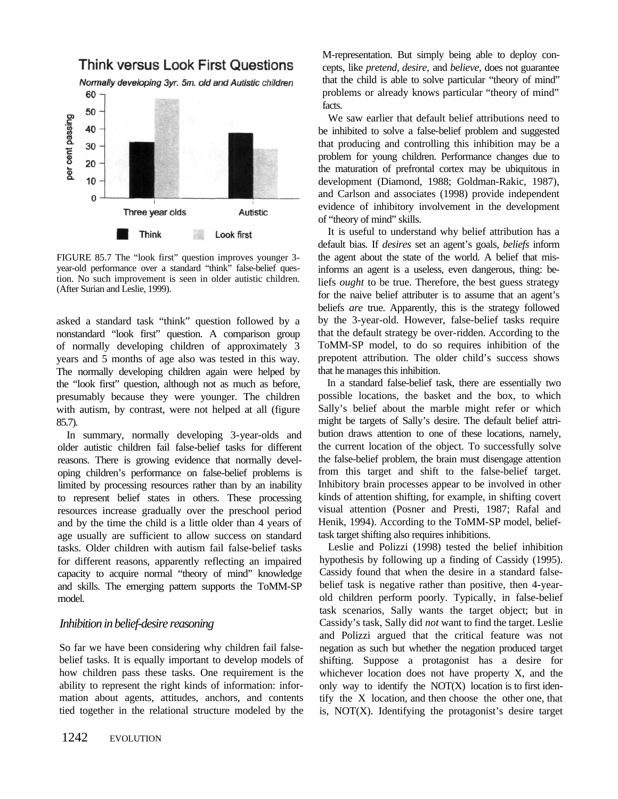

FIGURE 85.7 The "look first" question improves younger 3 year-old performance over a standard "think" false-belief question. No such improvement is seen in older autistic children. (After Surian and Leslie, 1999).

asked a standard task "think" question followed by a nonstandard "look first" question. A comparison group of normally developing children of approximately 3 years and 5 months of age also was tested in this way. The normally developing children again were helped by the "look first" question, although not as much as before, presumably because they were younger. The children with autism, by contrast, were not helped at all (figure 85.7).

In summary, normally developing 3-year-olds and older autistic children fail false-belief tasks for different reasons. There is growing evidence that normally developing children's performance on false-belief problems is limited by processing resources rather than by an inability to represent belief states in others. These processing resources increase gradually over the preschool period and by the time the child is a little older than 4 years of age usually are sufficient to allow success on standard tasks. Older children with autism fail false-belief tasks for different reasons, apparently reflecting an impaired capacity to acquire normal "theory of mind" knowledge and skills. The emerging pattern supports the ToMM-SP model.

#### *Inhibition in belief-desire reasoning*

So far we have been considering why children fail falsebelief tasks. It is equally important to develop models of how children pass these tasks. One requirement is the ability to represent the right kinds of information: information about agents, attitudes, anchors, and contents tied together in the relational structure modeled by the M-representation. But simply being able to deploy concepts, like *pretend, desire,* and *believe,* does not guarantee that the child is able to solve particular "theory of mind" problems or already knows particular "theory of mind" facts.

We saw earlier that default belief attributions need to be inhibited to solve a false-belief problem and suggested that producing and controlling this inhibition may be a problem for young children. Performance changes due to the maturation of prefrontal cortex may be ubiquitous in development (Diamond, 1988; Goldman-Rakic, 1987), and Carlson and associates (1998) provide independent evidence of inhibitory involvement in the development of "theory of mind" skills.

It is useful to understand why belief attribution has a default bias. If *desires* set an agent's goals, *beliefs* inform the agent about the state of the world. A belief that misinforms an agent is a useless, even dangerous, thing: beliefs *ought* to be true. Therefore, the best guess strategy for the naive belief attributer is to assume that an agent's beliefs *are* true. Apparently, this is the strategy followed by the 3-year-old. However, false-belief tasks require that the default strategy be over-ridden. According to the ToMM-SP model, to do so requires inhibition of the prepotent attribution. The older child's success shows that he manages this inhibition.

In a standard false-belief task, there are essentially two possible locations, the basket and the box, to which Sally's belief about the marble might refer or which might be targets of Sally's desire. The default belief attribution draws attention to one of these locations, namely, the current location of the object. To successfully solve the false-belief problem, the brain must disengage attention from this target and shift to the false-belief target. Inhibitory brain processes appear to be involved in other kinds of attention shifting, for example, in shifting covert visual attention (Posner and Presti, 1987; Rafal and Henik, 1994). According to the ToMM-SP model, belieftask target shifting also requires inhibitions.

Leslie and Polizzi (1998) tested the belief inhibition hypothesis by following up a finding of Cassidy (1995). Cassidy found that when the desire in a standard falsebelief task is negative rather than positive, then 4-yearold children perform poorly. Typically, in false-belief task scenarios, Sally wants the target object; but in Cassidy's task, Sally did *not* want to find the target. Leslie and Polizzi argued that the critical feature was not negation as such but whether the negation produced target shifting. Suppose a protagonist has a desire for whichever location does not have property X, and the only way to identify the  $NOT(X)$  location is to first identify the X location, and then choose the other one, that is, NOT(X). Identifying the protagonist's desire target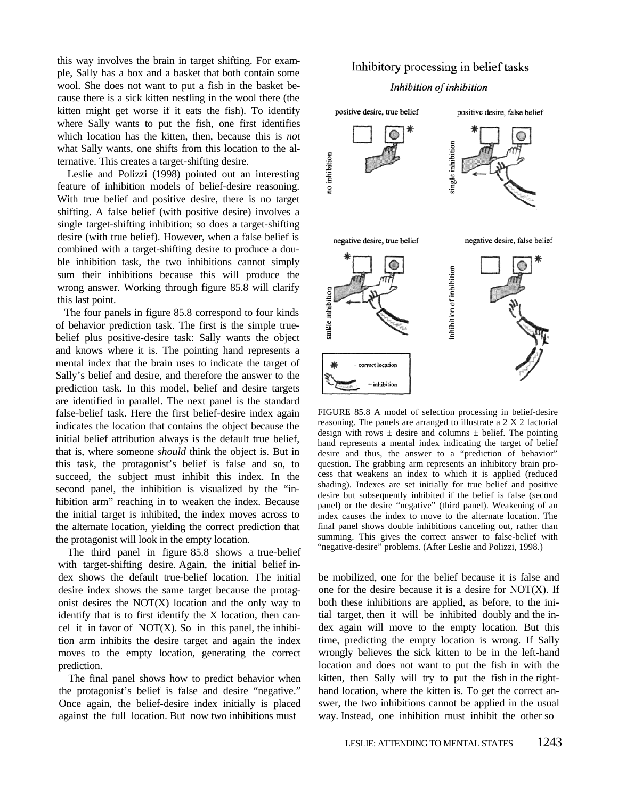this way involves the brain in target shifting. For example, Sally has a box and a basket that both contain some wool. She does not want to put a fish in the basket because there is a sick kitten nestling in the wool there (the kitten might get worse if it eats the fish). To identify where Sally wants to put the fish, one first identifies which location has the kitten, then, because this is *not*  what Sally wants, one shifts from this location to the alternative. This creates a target-shifting desire.

Leslie and Polizzi (1998) pointed out an interesting feature of inhibition models of belief-desire reasoning. With true belief and positive desire, there is no target shifting. A false belief (with positive desire) involves a single target-shifting inhibition; so does a target-shifting desire (with true belief). However, when a false belief is combined with a target-shifting desire to produce a double inhibition task, the two inhibitions cannot simply sum their inhibitions because this will produce the wrong answer. Working through figure 85.8 will clarify this last point.

The four panels in figure 85.8 correspond to four kinds of behavior prediction task. The first is the simple truebelief plus positive-desire task: Sally wants the object and knows where it is. The pointing hand represents a mental index that the brain uses to indicate the target of Sally's belief and desire, and therefore the answer to the prediction task. In this model, belief and desire targets are identified in parallel. The next panel is the standard false-belief task. Here the first belief-desire index again indicates the location that contains the object because the initial belief attribution always is the default true belief, that is, where someone *should* think the object is. But in this task, the protagonist's belief is false and so, to succeed, the subject must inhibit this index. In the second panel, the inhibition is visualized by the "inhibition arm" reaching in to weaken the index. Because the initial target is inhibited, the index moves across to the alternate location, yielding the correct prediction that the protagonist will look in the empty location.

The third panel in figure 85.8 shows a true-belief with target-shifting desire. Again, the initial belief index shows the default true-belief location. The initial desire index shows the same target because the protagonist desires the  $NOT(X)$  location and the only way to identify that is to first identify the X location, then cancel it in favor of  $NOT(X)$ . So in this panel, the inhibition arm inhibits the desire target and again the index moves to the empty location, generating the correct prediction.

The final panel shows how to predict behavior when the protagonist's belief is false and desire "negative." Once again, the belief-desire index initially is placed against the full location. But now two inhibitions must

#### Inhibitory processing in belief tasks

Inhibition of inhibition



FIGURE 85.8 A model of selection processing in belief-desire reasoning. The panels are arranged to illustrate a 2 X 2 factorial design with rows  $\pm$  desire and columns  $\pm$  belief. The pointing hand represents a mental index indicating the target of belief desire and thus, the answer to a "prediction of behavior" question. The grabbing arm represents an inhibitory brain process that weakens an index to which it is applied (reduced shading). Indexes are set initially for true belief and positive desire but subsequently inhibited if the belief is false (second panel) or the desire "negative" (third panel). Weakening of an index causes the index to move to the alternate location. The final panel shows double inhibitions canceling out, rather than summing. This gives the correct answer to false-belief with "negative-desire" problems. (After Leslie and Polizzi, 1998.)

be mobilized, one for the belief because it is false and one for the desire because it is a desire for NOT(X). If both these inhibitions are applied, as before, to the initial target, then it will be inhibited doubly and the index again will move to the empty location. But this time, predicting the empty location is wrong. If Sally wrongly believes the sick kitten to be in the left-hand location and does not want to put the fish in with the kitten, then Sally will try to put the fish in the righthand location, where the kitten is. To get the correct answer, the two inhibitions cannot be applied in the usual way. Instead, one inhibition must inhibit the other so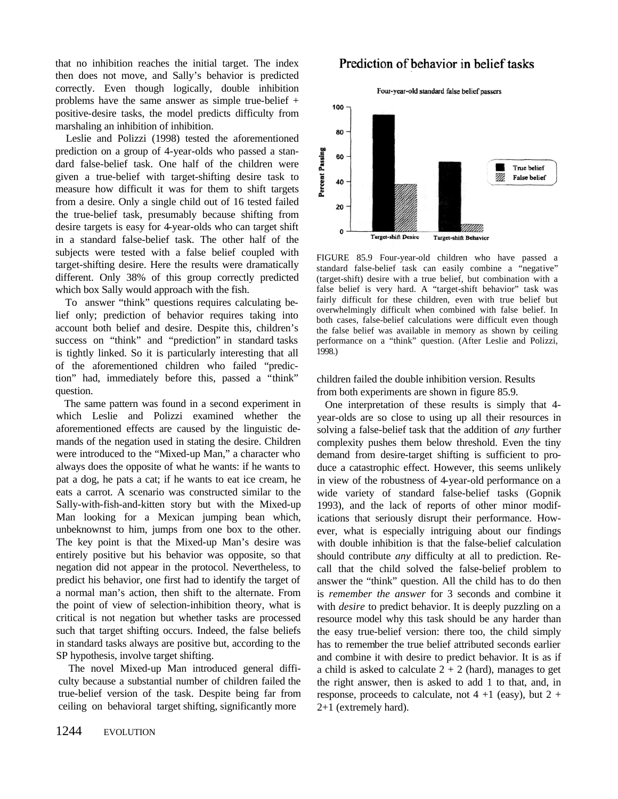that no inhibition reaches the initial target. The index then does not move, and Sally's behavior is predicted correctly. Even though logically, double inhibition problems have the same answer as simple true-belief + positive-desire tasks, the model predicts difficulty from marshaling an inhibition of inhibition.

Leslie and Polizzi (1998) tested the aforementioned prediction on a group of 4-year-olds who passed a standard false-belief task. One half of the children were given a true-belief with target-shifting desire task to measure how difficult it was for them to shift targets from a desire. Only a single child out of 16 tested failed the true-belief task, presumably because shifting from desire targets is easy for 4-year-olds who can target shift in a standard false-belief task. The other half of the subjects were tested with a false belief coupled with target-shifting desire. Here the results were dramatically different. Only 38% of this group correctly predicted which box Sally would approach with the fish.

To answer "think" questions requires calculating belief only; prediction of behavior requires taking into account both belief and desire. Despite this, children's success on "think" and "prediction" in standard tasks is tightly linked. So it is particularly interesting that all of the aforementioned children who failed "prediction" had, immediately before this, passed a "think" question.

The same pattern was found in a second experiment in which Leslie and Polizzi examined whether the aforementioned effects are caused by the linguistic demands of the negation used in stating the desire. Children were introduced to the "Mixed-up Man," a character who always does the opposite of what he wants: if he wants to pat a dog, he pats a cat; if he wants to eat ice cream, he eats a carrot. A scenario was constructed similar to the Sally-with-fish-and-kitten story but with the Mixed-up Man looking for a Mexican jumping bean which, unbeknownst to him, jumps from one box to the other. The key point is that the Mixed-up Man's desire was entirely positive but his behavior was opposite, so that negation did not appear in the protocol. Nevertheless, to predict his behavior, one first had to identify the target of a normal man's action, then shift to the alternate. From the point of view of selection-inhibition theory, what is critical is not negation but whether tasks are processed such that target shifting occurs. Indeed, the false beliefs in standard tasks always are positive but, according to the SP hypothesis, involve target shifting.

The novel Mixed-up Man introduced general difficulty because a substantial number of children failed the true-belief version of the task. Despite being far from ceiling on behavioral target shifting, significantly more

## 1244EVOLUTION

## Prediction of behavior in belief tasks



FIGURE 85.9 Four-year-old children who have passed a standard false-belief task can easily combine a "negative" (target-shift) desire with a true belief, but combination with a false belief is very hard. A "target-shift behavior" task was fairly difficult for these children, even with true belief but overwhelmingly difficult when combined with false belief. In both cases, false-belief calculations were difficult even though the false belief was available in memory as shown by ceiling performance on a "think" question. (After Leslie and Polizzi, 1998.)

children failed the double inhibition version. Results from both experiments are shown in figure 85.9.

One interpretation of these results is simply that 4 year-olds are so close to using up all their resources in solving a false-belief task that the addition of *any* further complexity pushes them below threshold. Even the tiny demand from desire-target shifting is sufficient to produce a catastrophic effect. However, this seems unlikely in view of the robustness of 4-year-old performance on a wide variety of standard false-belief tasks (Gopnik 1993), and the lack of reports of other minor modifications that seriously disrupt their performance. However, what is especially intriguing about our findings with double inhibition is that the false-belief calculation should contribute *any* difficulty at all to prediction. Recall that the child solved the false-belief problem to answer the "think" question. All the child has to do then is *remember the answer* for 3 seconds and combine it with *desire* to predict behavior. It is deeply puzzling on a resource model why this task should be any harder than the easy true-belief version: there too, the child simply has to remember the true belief attributed seconds earlier and combine it with desire to predict behavior. It is as if a child is asked to calculate  $2 + 2$  (hard), manages to get the right answer, then is asked to add 1 to that, and, in response, proceeds to calculate, not  $4 + 1$  (easy), but  $2 +$ 2+1 (extremely hard).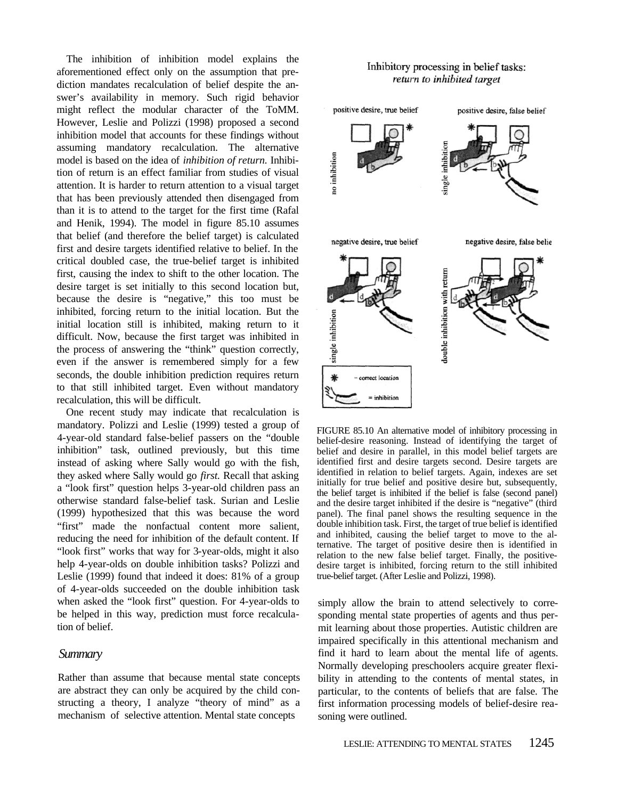The inhibition of inhibition model explains the aforementioned effect only on the assumption that prediction mandates recalculation of belief despite the answer's availability in memory. Such rigid behavior might reflect the modular character of the ToMM. However, Leslie and Polizzi (1998) proposed a second inhibition model that accounts for these findings without assuming mandatory recalculation. The alternative model is based on the idea of *inhibition of return.* Inhibition of return is an effect familiar from studies of visual attention. It is harder to return attention to a visual target that has been previously attended then disengaged from than it is to attend to the target for the first time (Rafal and Henik, 1994). The model in figure 85.10 assumes that belief (and therefore the belief target) is calculated first and desire targets identified relative to belief. In the critical doubled case, the true-belief target is inhibited first, causing the index to shift to the other location. The desire target is set initially to this second location but, because the desire is "negative," this too must be inhibited, forcing return to the initial location. But the initial location still is inhibited, making return to it difficult. Now, because the first target was inhibited in the process of answering the "think" question correctly, even if the answer is remembered simply for a few seconds, the double inhibition prediction requires return to that still inhibited target. Even without mandatory recalculation, this will be difficult.

One recent study may indicate that recalculation is mandatory. Polizzi and Leslie (1999) tested a group of 4-year-old standard false-belief passers on the "double inhibition" task, outlined previously, but this time instead of asking where Sally would go with the fish, they asked where Sally would go *first.* Recall that asking a "look first" question helps 3-year-old children pass an otherwise standard false-belief task. Surian and Leslie (1999) hypothesized that this was because the word "first" made the nonfactual content more salient, reducing the need for inhibition of the default content. If "look first" works that way for 3-year-olds, might it also help 4-year-olds on double inhibition tasks? Polizzi and Leslie (1999) found that indeed it does: 81% of a group of 4-year-olds succeeded on the double inhibition task when asked the "look first" question. For 4-year-olds to be helped in this way, prediction must force recalculation of belief.

#### *Summary*

Rather than assume that because mental state concepts are abstract they can only be acquired by the child constructing a theory, I analyze "theory of mind" as a mechanism of selective attention. Mental state concepts

#### Inhibitory processing in belief tasks: return to inhibited target



FIGURE 85.10 An alternative model of inhibitory processing in belief-desire reasoning. Instead of identifying the target of belief and desire in parallel, in this model belief targets are identified first and desire targets second. Desire targets are identified in relation to belief targets. Again, indexes are set initially for true belief and positive desire but, subsequently, the belief target is inhibited if the belief is false (second panel) and the desire target inhibited if the desire is "negative" (third panel). The final panel shows the resulting sequence in the double inhibition task. First, the target of true belief is identified and inhibited, causing the belief target to move to the alternative. The target of positive desire then is identified in relation to the new false belief target. Finally, the positivedesire target is inhibited, forcing return to the still inhibited true-belief target. (After Leslie and Polizzi, 1998).

simply allow the brain to attend selectively to corresponding mental state properties of agents and thus permit learning about those properties. Autistic children are impaired specifically in this attentional mechanism and find it hard to learn about the mental life of agents. Normally developing preschoolers acquire greater flexibility in attending to the contents of mental states, in particular, to the contents of beliefs that are false. The first information processing models of belief-desire reasoning were outlined.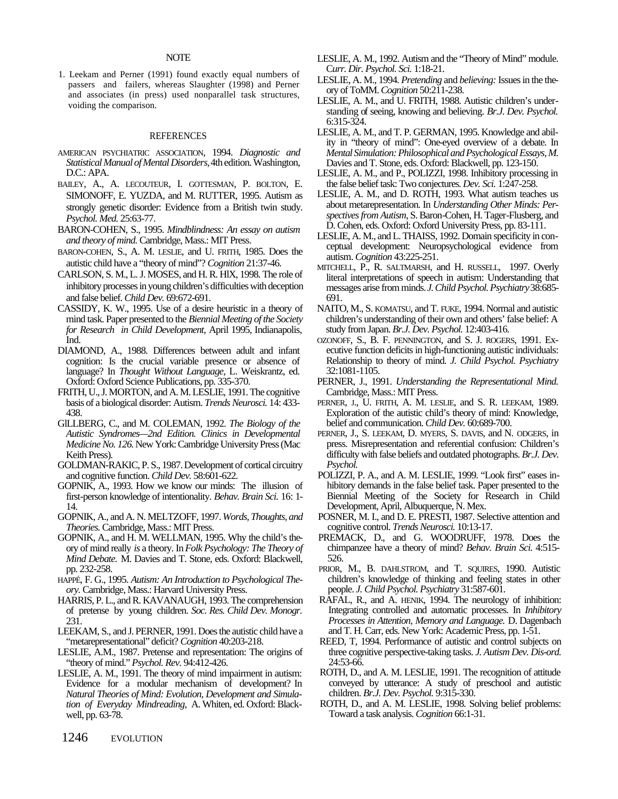#### **NOTE**

1. Leekam and Perner (1991) found exactly equal numbers of passers and failers, whereas Slaughter (1998) and Perner and associates (in press) used nonparallel task structures, voiding the comparison.

#### **REFERENCES**

- AMERICAN PSYCHIATRIC ASSOCIATION, 1994. *Diagnostic and Statistical Manual of Mental Disorders,* 4th edition. Washington, D.C.: APA.
- BAILEY, A., A. LECOUTEUR, I. GOTTESMAN, P. BOLTON, E. SIMONOFF, E. YUZDA, and M. RUTTER, 1995. Autism as strongly genetic disorder: Evidence from a British twin study. *Psychol. Med.* 25:63-77.
- BARON-COHEN, S., 1995. *Mindblindness: An essay on autism and theory of mind.* Cambridge, Mass.: MIT Press.
- BARON-COHEN, S., A. M. LESLIE, and U. FRITH, 1985. Does the autistic child have a "theory of mind"? *Cognition* 21:37-46.
- CARLSON, S. M., L. J. MOSES, and H. R. HlX, 1998. The role of inhibitory processes in young children's difficulties with deception and false belief. *Child Dev.* 69:672-691.
- CASSIDY, K. W., 1995. Use of a desire heuristic in a theory of mind task. Paper presented to the *Biennial Meeting of the Society for Research in Child Development,* April 1995, Indianapolis, Ind.
- DIAMOND, A., 1988. Differences between adult and infant cognition: Is the crucial variable presence or absence of language? In *Thought Without Language,* L. Weiskrantz, ed. Oxford: Oxford Science Publications, pp. 335-370.
- FRITH, U., J. MORTON, and A. M. LESLIE, 1991. The cognitive basis of a biological disorder: Autism. *Trends Neurosci.* 14: 433- 438.
- GlLLBERG, C., and M. COLEMAN, 1992. *The Biology of the Autistic Syndromes—2nd Edition. Clinics in Developmental Medicine No. 126.* New York: Cambridge University Press (Mac Keith Press).
- GOLDMAN-RAKIC, P. S., 1987. Development of cortical circuitry and cognitive function. *Child Dev.* 58:601-622.
- GOPNIK, A., 1993. How we know our minds: The illusion of first-person knowledge of intentionality. *Behav. Brain Sci.* 16: 1- 14.
- GOPNIK, A., and A. N. MELTZOFF, 1997. *Words, Thoughts, and Theories.* Cambridge, Mass.: MIT Press.
- GOPNIK, A., and H. M. WELLMAN, 1995. Why the child's theory of mind really *is* a theory. In *Folk Psychology: The Theory of Mind Debate.* M. Davies and T. Stone, eds. Oxford: Blackwell, pp. 232-258.
- HAPPÉ, F. G., 1995. *Autism: An Introduction to Psychological Theory.* Cambridge, Mass.: Harvard University Press.
- HARRIS, P. L., and R. KAVANAUGH, 1993. The comprehension of pretense by young children. *Soc. Res. Child Dev. Monogr.*  231.
- LEEKAM, S., and J. PERNER, 1991. Does the autistic child have a "metarepresentational" deficit? *Cognition* 40:203-218.
- LESLIE, A.M., 1987. Pretense and representation: The origins of "theory of mind." *Psychol. Rev.* 94:412-426.
- LESLIE, A. M., 1991. The theory of mind impairment in autism: Evidence for a modular mechanism of development? In *Natural Theories of Mind: Evolution, Development and Simulation of Everyday Mindreading,* A. Whiten, ed. Oxford: Blackwell, pp. 63-78.
- LESLIE, A. M., 1992. Autism and the "Theory of Mind" module. C*urr. Dir. Psychol. Sci.* 1:18-21.
- LESLIE, A. M., 1994. *Pretending* and *believing:* Issues in the theory of ToMM. *Cognition* 50:211-238.
- LESLIE, A. M., and U. FRITH, 1988. Autistic children's understanding of seeing, knowing and believing. *Br.J. Dev. Psychol.*  6:315-324.
- LESLIE, A. M., and T. P. GERMAN, 1995. Knowledge and ability in "theory of mind": One-eyed overview of a debate. In *Mental Simulation: Philosophical and Psychological Essays, M.*  Davies and T. Stone, eds. Oxford: Blackwell, pp. 123-150.
- LESLIE, A. M., and P., POLIZZI, 1998. Inhibitory processing in the false belief task: Two conjectures. *Dev. Sci.* 1:247-258.
- LESLIE, A. M., and D. ROTH, 1993. What autism teaches us about metarepresentation. In *Understanding Other Minds: Perspectives from Autism,* S. Baron-Cohen, H. Tager-Flusberg, and D. Cohen, eds. Oxford: Oxford University Press, pp. 83-111.
- LESLIE, A. M., and L. THAISS, 1992. Domain specificity in conceptual development: Neuropsychological evidence from autism. *Cognition* 43:225-251.
- MITCHELL, P., R. SALTMARSH, and H. RUSSELL, 1997. Overly literal interpretations of speech in autism: Understanding that messages arise from minds. *J. Child Psychol. Psychiatry* 38:685- 691.
- NAITO, M., S. KOMATSU, and T. FUKE, 1994. Normal and autistic children's understanding of their own and others' false belief: A study from Japan. *Br.J. Dev. Psychol.* 12:403-416.
- OZONOFF, S., B. F. PENNINGTON, and S. J. ROGERS, 1991. Executive function deficits in high-functioning autistic individuals: Relationship to theory of mind. *J. Child Psychol. Psychiatry* 32:1081-1105.
- PERNER, J., 1991. *Understanding the Representational Mind.* Cambridge, Mass.: MIT Press.
- PERNER, J., U. FRITH, A. M. LESLIE, and S. R. LEEKAM, 1989. Exploration of the autistic child's theory of mind: Knowledge, belief and communication. *Child Dev.* 60:689-700.
- PERNER, J., S. LEEKAM, D. MYERS, S. DAVIS, and N. ODGERS, in press. Misrepresentation and referential confusion: Children's difficulty with false beliefs and outdated photographs. *Br.J. Dev. Psychol.*
- POLIZZI, P. A., and A. M. LESLIE, 1999. "Look first" eases inhibitory demands in the false belief task. Paper presented to the Biennial Meeting of the Society for Research in Child Development, April, Albuquerque, N. Mex.
- POSNER, M. I., and D. E. PRESTI, 1987. Selective attention and cognitive control. *Trends Neurosci.* 10:13-17.
- PREMACK, D., and G. WOODRUFF, 1978. Does the chimpanzee have a theory of mind? *Behav. Brain Sci.* 4:515- 526.
- PRIOR, M., B. DAHLSTROM, and T. SQUIRES, 1990. Autistic children's knowledge of thinking and feeling states in other people. *J. Child Psychol. Psychiatry* 31:587-601.
- RAFAL, R., and A. HENIK, 1994. The neurology of inhibition: Integrating controlled and automatic processes. In *Inhibitory Processes in Attention, Memory and Language.* D. Dagenbach and T. H. Carr, eds. New York: Academic Press, pp. 1-51.
- REED, T, 1994. Performance of autistic and control subjects on three cognitive perspective-taking tasks. *J. Autism Dev. Dis-ord.*  24:53-66.
- ROTH, D., and A. M. LESLIE, 1991. The recognition of attitude conveyed by utterance: A study of preschool and autistic children. *Br.J. Dev. Psychol.* 9:315-330.
- ROTH, D., and A. M. LESLIE, 1998. Solving belief problems: Toward a task analysis. *Cognition* 66:1-31.

1246 EVOLUTION